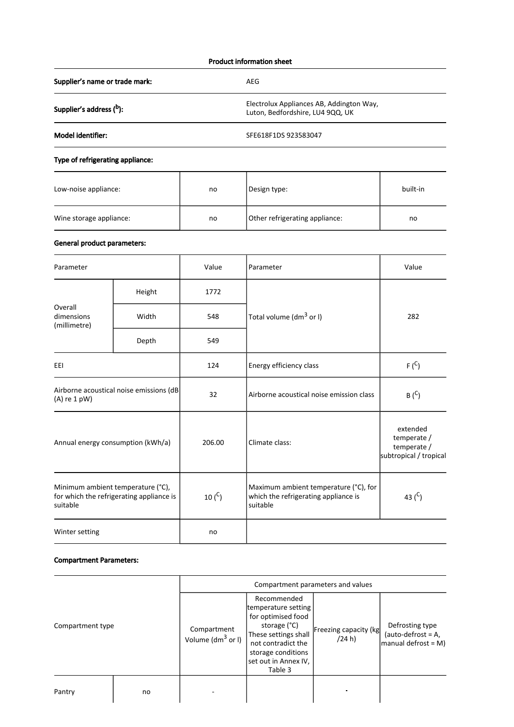### Product information sheet

Supplier's name or trade mark: AEG

Supplier's address (b):

Electrolux Appliances AB, Addington Way,

Model identifier: SFE618F1DS 923583047

Luton, Bedfordshire, LU4 9QQ, UK

# Type of refrigerating appliance:

| Low-noise appliance:    | no | Design type:                   | built-in |
|-------------------------|----|--------------------------------|----------|
| Wine storage appliance: | no | Other refrigerating appliance: | no       |

## General product parameters:

| Parameter                                                                                 |        | Value       | Parameter                                                                                 | Value                                                            |
|-------------------------------------------------------------------------------------------|--------|-------------|-------------------------------------------------------------------------------------------|------------------------------------------------------------------|
| Overall<br>dimensions<br>(millimetre)                                                     | Height | 1772        |                                                                                           | 282                                                              |
|                                                                                           | Width  | 548         | Total volume (dm <sup>3</sup> or I)                                                       |                                                                  |
|                                                                                           | Depth  | 549         |                                                                                           |                                                                  |
| EEI                                                                                       |        | 124         | Energy efficiency class                                                                   | $F(^{C})$                                                        |
| Airborne acoustical noise emissions (dB<br>$(A)$ re 1 pW)                                 |        | 32          | Airborne acoustical noise emission class                                                  | $B(^C)$                                                          |
| Annual energy consumption (kWh/a)                                                         |        | 206.00      | Climate class:                                                                            | extended<br>temperate /<br>temperate /<br>subtropical / tropical |
| Minimum ambient temperature (°C),<br>for which the refrigerating appliance is<br>suitable |        | 10 $(^{C})$ | Maximum ambient temperature (°C), for<br>which the refrigerating appliance is<br>suitable | 43 $(C)$                                                         |
| Winter setting                                                                            |        | no          |                                                                                           |                                                                  |

### Compartment Parameters:

|                  |    | Compartment parameters and values            |                                                                                                                                                                                 |                                 |                                                                 |
|------------------|----|----------------------------------------------|---------------------------------------------------------------------------------------------------------------------------------------------------------------------------------|---------------------------------|-----------------------------------------------------------------|
| Compartment type |    | Compartment<br>Volume (dm <sup>3</sup> or I) | Recommended<br>temperature setting<br>for optimised food<br>storage (°C)<br>These settings shall<br>not contradict the<br>storage conditions<br>set out in Annex IV,<br>Table 3 | Freezing capacity (kg<br>(24 h) | Defrosting type<br>(auto-defrost = $A$ ,<br>manual defrost = M) |
| Pantry           | no |                                              |                                                                                                                                                                                 |                                 |                                                                 |